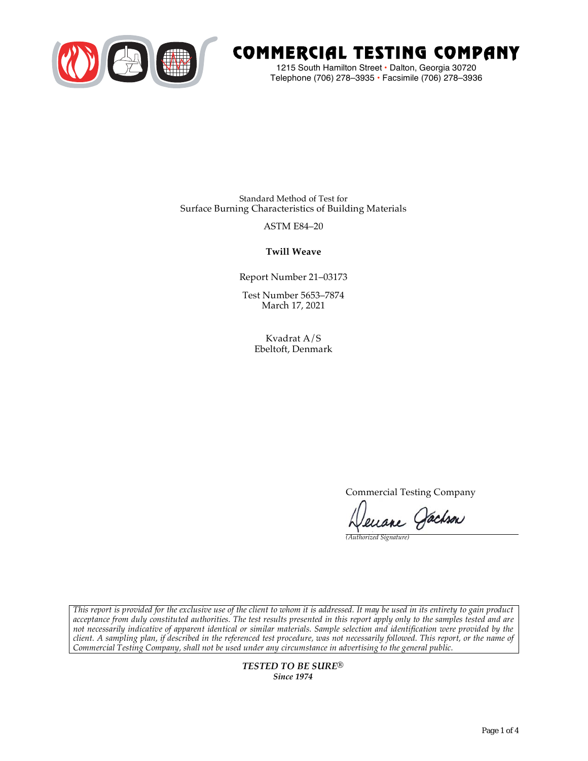

# COMMERCIAL TESTING COMPANY

1215 South Hamilton Street • Dalton, Georgia 30720 Telephone (706) 278–3935 **•** Facsimile (706) 278–3936

Standard Method of Test for Surface Burning Characteristics of Building Materials

ASTM E84–20

**Twill Weave**

Report Number 21–03173

Test Number 5653–7874 March 17, 2021

> Kvadrat A/S Ebeltoft, Denmark

> > Commercial Testing Company

enane Jachson

*(Authorized Signature)* 

*This report is provided for the exclusive use of the client to whom it is addressed. It may be used in its entirety to gain product acceptance from duly constituted authorities. The test results presented in this report apply only to the samples tested and are not necessarily indicative of apparent identical or similar materials. Sample selection and identification were provided by the client. A sampling plan, if described in the referenced test procedure, was not necessarily followed. This report, or the name of Commercial Testing Company, shall not be used under any circumstance in advertising to the general public.* 

> *TESTED TO BE SURE® Since 1974*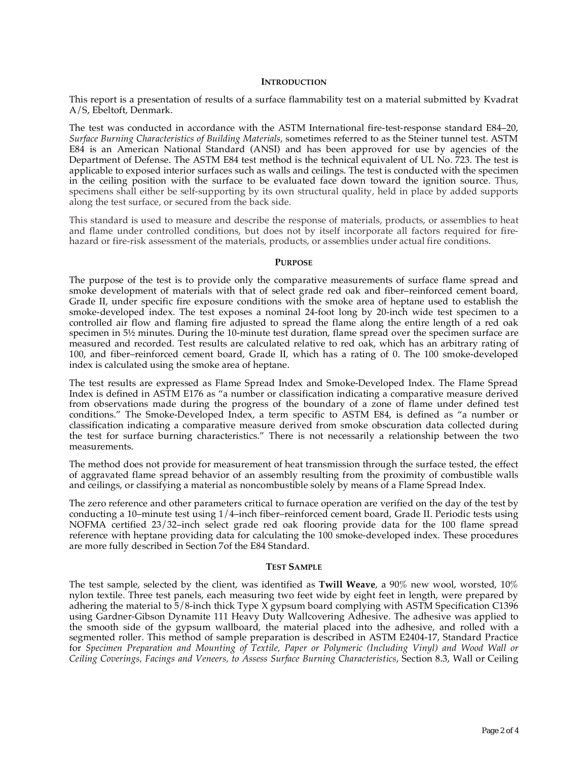#### **INTRODUCTION**

This report is a presentation of results of a surface flammability test on a material submitted by Kvadrat A/S, Ebeltoft, Denmark.

The test was conducted in accordance with the ASTM International fire-test-response standard E84–20, *Surface Burning Characteristics of Building Materials*, sometimes referred to as the Steiner tunnel test. ASTM E84 is an American National Standard (ANSI) and has been approved for use by agencies of the Department of Defense. The ASTM E84 test method is the technical equivalent of UL No. 723. The test is applicable to exposed interior surfaces such as walls and ceilings. The test is conducted with the specimen in the ceiling position with the surface to be evaluated face down toward the ignition source. Thus, specimens shall either be self-supporting by its own structural quality, held in place by added supports along the test surface, or secured from the back side.

This standard is used to measure and describe the response of materials, products, or assemblies to heat and flame under controlled conditions, but does not by itself incorporate all factors required for firehazard or fire-risk assessment of the materials, products, or assemblies under actual fire conditions.

#### **PURPOSE**

The purpose of the test is to provide only the comparative measurements of surface flame spread and smoke development of materials with that of select grade red oak and fiber–reinforced cement board, Grade II, under specific fire exposure conditions with the smoke area of heptane used to establish the smoke-developed index. The test exposes a nominal 24-foot long by 20-inch wide test specimen to a controlled air flow and flaming fire adjusted to spread the flame along the entire length of a red oak specimen in  $5\frac{1}{2}$  minutes. During the 10-minute test duration, flame spread over the specimen surface are measured and recorded. Test results are calculated relative to red oak, which has an arbitrary rating of 100, and fiber–reinforced cement board, Grade II, which has a rating of 0. The 100 smoke-developed index is calculated using the smoke area of heptane.

The test results are expressed as Flame Spread Index and Smoke-Developed Index. The Flame Spread Index is defined in ASTM E176 as "a number or classification indicating a comparative measure derived from observations made during the progress of the boundary of a zone of flame under defined test conditions." The Smoke-Developed Index, a term specific to ASTM E84, is defined as "a number or classification indicating a comparative measure derived from smoke obscuration data collected during the test for surface burning characteristics." There is not necessarily a relationship between the two measurements.

The method does not provide for measurement of heat transmission through the surface tested, the effect of aggravated flame spread behavior of an assembly resulting from the proximity of combustible walls and ceilings, or classifying a material as noncombustible solely by means of a Flame Spread Index.

The zero reference and other parameters critical to furnace operation are verified on the day of the test by conducting a 10–minute test using 1/4–inch fiber–reinforced cement board, Grade II. Periodic tests using NOFMA certified 23/32–inch select grade red oak flooring provide data for the 100 flame spread reference with heptane providing data for calculating the 100 smoke-developed index. These procedures are more fully described in Section 7of the E84 Standard.

#### **TEST SAMPLE**

The test sample, selected by the client, was identified as **Twill Weave**, a 90% new wool, worsted, 10% nylon textile. Three test panels, each measuring two feet wide by eight feet in length, were prepared by adhering the material to 5/8-inch thick Type X gypsum board complying with ASTM Specification C1396 using Gardner-Gibson Dynamite 111 Heavy Duty Wallcovering Adhesive. The adhesive was applied to the smooth side of the gypsum wallboard, the material placed into the adhesive, and rolled with a segmented roller. This method of sample preparation is described in ASTM E2404-17, Standard Practice for *Specimen Preparation and Mounting of Textile, Paper or Polymeric (Including Vinyl) and Wood Wall or Ceiling Coverings, Facings and Veneers, to Assess Surface Burning Characteristics*, Section 8.3, Wall or Ceiling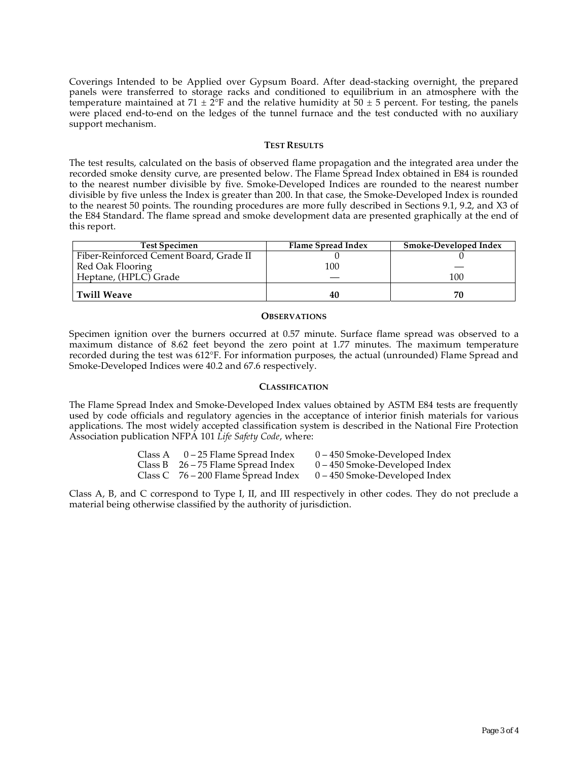Coverings Intended to be Applied over Gypsum Board. After dead-stacking overnight, the prepared panels were transferred to storage racks and conditioned to equilibrium in an atmosphere with the temperature maintained at  $71 \pm 2$ °F and the relative humidity at  $50 \pm 5$  percent. For testing, the panels were placed end-to-end on the ledges of the tunnel furnace and the test conducted with no auxiliary support mechanism.

#### **TEST RESULTS**

The test results, calculated on the basis of observed flame propagation and the integrated area under the recorded smoke density curve, are presented below. The Flame Spread Index obtained in E84 is rounded to the nearest number divisible by five. Smoke-Developed Indices are rounded to the nearest number divisible by five unless the Index is greater than 200. In that case, the Smoke-Developed Index is rounded to the nearest 50 points. The rounding procedures are more fully described in Sections 9.1, 9.2, and X3 of the E84 Standard. The flame spread and smoke development data are presented graphically at the end of this report.

| <b>Test Specimen</b>                    | Flame Spread Index | Smoke-Developed Index |
|-----------------------------------------|--------------------|-----------------------|
| Fiber-Reinforced Cement Board, Grade II |                    |                       |
| Red Oak Flooring                        | 100                |                       |
| Heptane, (HPLC) Grade                   |                    | 100                   |
| Twill Weave                             | 40                 | 70                    |

#### **OBSERVATIONS**

Specimen ignition over the burners occurred at 0.57 minute. Surface flame spread was observed to a maximum distance of 8.62 feet beyond the zero point at 1.77 minutes. The maximum temperature recorded during the test was 612°F. For information purposes, the actual (unrounded) Flame Spread and Smoke-Developed Indices were 40.2 and 67.6 respectively.

### **CLASSIFICATION**

The Flame Spread Index and Smoke-Developed Index values obtained by ASTM E84 tests are frequently used by code officials and regulatory agencies in the acceptance of interior finish materials for various applications. The most widely accepted classification system is described in the National Fire Protection Association publication NFPA 101 *Life Safety Code*, where:

| Class A | 0 – 25 Flame Spread Index             | 0 – 450 Smoke-Developed Index   |
|---------|---------------------------------------|---------------------------------|
|         | Class B $26 - 75$ Flame Spread Index  | $0 - 450$ Smoke-Developed Index |
|         | Class C $76 - 200$ Flame Spread Index | $0 - 450$ Smoke-Developed Index |

Class A, B, and C correspond to Type I, II, and III respectively in other codes. They do not preclude a material being otherwise classified by the authority of jurisdiction.